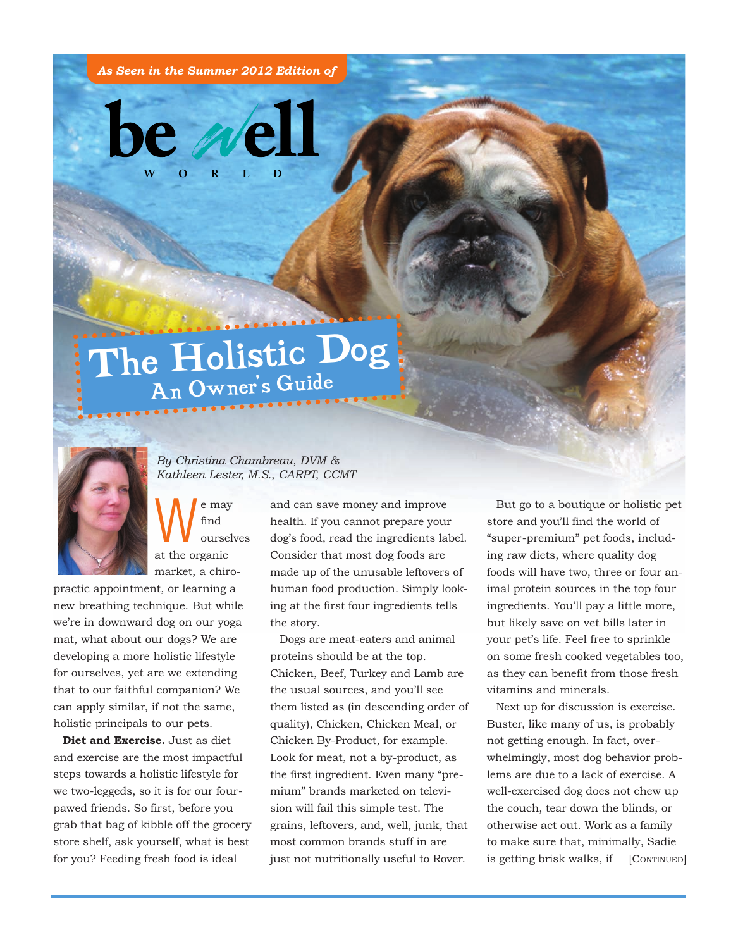*As Seen in the Summer 2012 Edition of*



## The Holistic Dog An Owner's Guide



## *By Christina Chambreau, DVM & Kathleen Lester, M.S., CARPT, CCMT*

 $\bigvee$ <sup>e may</sup> find oursel find ourselves at the organic market, a chiro-

practic appointment, or learning a new breathing technique. But while we're in downward dog on our yoga mat, what about our dogs? We are developing a more holistic lifestyle for ourselves, yet are we extending that to our faithful companion? We can apply similar, if not the same, holistic principals to our pets.

**Diet and Exercise.** Just as diet and exercise are the most impactful steps towards a holistic lifestyle for we two-leggeds, so it is for our fourpawed friends. So first, before you grab that bag of kibble off the grocery store shelf, ask yourself, what is best for you? Feeding fresh food is ideal

and can save money and improve health. If you cannot prepare your dog's food, read the ingredients label. Consider that most dog foods are made up of the unusable leftovers of human food production. Simply looking at the first four ingredients tells the story.

Dogs are meat-eaters and animal proteins should be at the top. Chicken, Beef, Turkey and Lamb are the usual sources, and you'll see them listed as (in descending order of quality), Chicken, Chicken Meal, or Chicken By-Product, for example. Look for meat, not a by-product, as the first ingredient. Even many "premium" brands marketed on television will fail this simple test. The grains, leftovers, and, well, junk, that most common brands stuff in are just not nutritionally useful to Rover.

But go to a boutique or holistic pet store and you'll find the world of "super-premium" pet foods, including raw diets, where quality dog foods will have two, three or four animal protein sources in the top four ingredients. You'll pay a little more, but likely save on vet bills later in your pet's life. Feel free to sprinkle on some fresh cooked vegetables too, as they can benefit from those fresh vitamins and minerals.

Next up for discussion is exercise. Buster, like many of us, is probably not getting enough. In fact, overwhelmingly, most dog behavior problems are due to a lack of exercise. A well-exercised dog does not chew up the couch, tear down the blinds, or otherwise act out. Work as a family to make sure that, minimally, Sadie is getting brisk walks, if [CONTINUED]